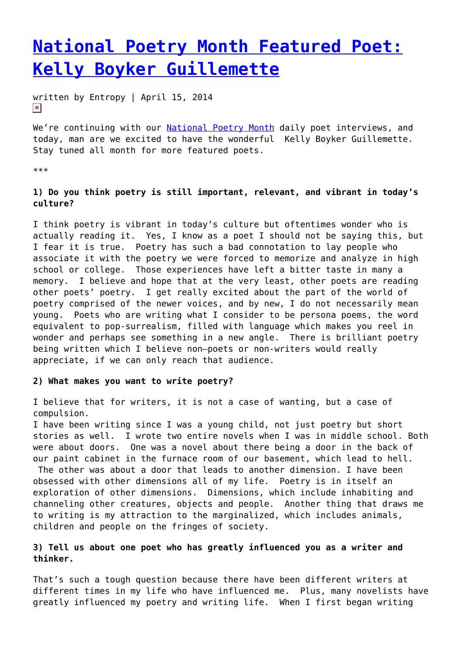# **[National Poetry Month Featured Poet:](https://entropymag.org/national-poetry-month-featured-poet-kelly-boyker-guillemette/) [Kelly Boyker Guillemette](https://entropymag.org/national-poetry-month-featured-poet-kelly-boyker-guillemette/)**

written by Entropy | April 15, 2014  $\pmb{\times}$ 

We're continuing with our [National Poetry Month](https://entropymag.org/tag/national-poetry-month) daily poet interviews, and today, man are we excited to have the wonderful Kelly Boyker Guillemette. Stay tuned all month for more featured poets.

\*\*\*

# **1) Do you think poetry is still important, relevant, and vibrant in today's culture?**

I think poetry is vibrant in today's culture but oftentimes wonder who is actually reading it. Yes, I know as a poet I should not be saying this, but I fear it is true. Poetry has such a bad connotation to lay people who associate it with the poetry we were forced to memorize and analyze in high school or college. Those experiences have left a bitter taste in many a memory. I believe and hope that at the very least, other poets are reading other poets' poetry. I get really excited about the part of the world of poetry comprised of the newer voices, and by new, I do not necessarily mean young. Poets who are writing what I consider to be persona poems, the word equivalent to pop-surrealism, filled with language which makes you reel in wonder and perhaps see something in a new angle. There is brilliant poetry being written which I believe non—poets or non-writers would really appreciate, if we can only reach that audience.

#### **2) What makes you want to write poetry?**

I believe that for writers, it is not a case of wanting, but a case of compulsion.

I have been writing since I was a young child, not just poetry but short stories as well. I wrote two entire novels when I was in middle school. Both were about doors. One was a novel about there being a door in the back of our paint cabinet in the furnace room of our basement, which lead to hell.

 The other was about a door that leads to another dimension. I have been obsessed with other dimensions all of my life. Poetry is in itself an exploration of other dimensions. Dimensions, which include inhabiting and channeling other creatures, objects and people. Another thing that draws me to writing is my attraction to the marginalized, which includes animals, children and people on the fringes of society.

# **3) Tell us about one poet who has greatly influenced you as a writer and thinker.**

That's such a tough question because there have been different writers at different times in my life who have influenced me. Plus, many novelists have greatly influenced my poetry and writing life. When I first began writing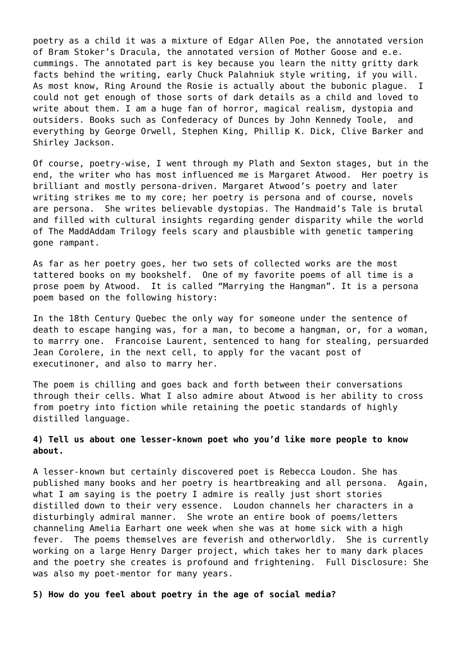poetry as a child it was a mixture of Edgar Allen Poe, the annotated version of Bram Stoker's Dracula, the annotated version of Mother Goose and e.e. cummings. The annotated part is key because you learn the nitty gritty dark facts behind the writing, early Chuck Palahniuk style writing, if you will. As most know, Ring Around the Rosie is actually about the bubonic plague. I could not get enough of those sorts of dark details as a child and loved to write about them. I am a huge fan of horror, magical realism, dystopia and outsiders. Books such as Confederacy of Dunces by John Kennedy Toole, and everything by George Orwell, Stephen King, Phillip K. Dick, Clive Barker and Shirley Jackson.

Of course, poetry-wise, I went through my Plath and Sexton stages, but in the end, the writer who has most influenced me is Margaret Atwood. Her poetry is brilliant and mostly persona-driven. Margaret Atwood's poetry and later writing strikes me to my core; her poetry is persona and of course, novels are persona. She writes believable dystopias. The Handmaid's Tale is brutal and filled with cultural insights regarding gender disparity while the world of The MaddAddam Trilogy feels scary and plausbible with genetic tampering gone rampant.

As far as her poetry goes, her two sets of collected works are the most tattered books on my bookshelf. One of my favorite poems of all time is a prose poem by Atwood. It is called "Marrying the Hangman". It is a persona poem based on the following history:

In the 18th Century Quebec the only way for someone under the sentence of death to escape hanging was, for a man, to become a hangman, or, for a woman, to marrry one. Francoise Laurent, sentenced to hang for stealing, persuarded Jean Corolere, in the next cell, to apply for the vacant post of executinoner, and also to marry her.

The poem is chilling and goes back and forth between their conversations through their cells. What I also admire about Atwood is her ability to cross from poetry into fiction while retaining the poetic standards of highly distilled language.

## **4) Tell us about one lesser-known poet who you'd like more people to know about.**

A lesser-known but certainly discovered poet is Rebecca Loudon. She has published many books and her poetry is heartbreaking and all persona. Again, what I am saying is the poetry I admire is really just short stories distilled down to their very essence. Loudon channels her characters in a disturbingly admiral manner. She wrote an entire book of poems/letters channeling Amelia Earhart one week when she was at home sick with a high fever. The poems themselves are feverish and otherworldly. She is currently working on a large Henry Darger project, which takes her to many dark places and the poetry she creates is profound and frightening. Full Disclosure: She was also my poet-mentor for many years.

**5) How do you feel about poetry in the age of social media?**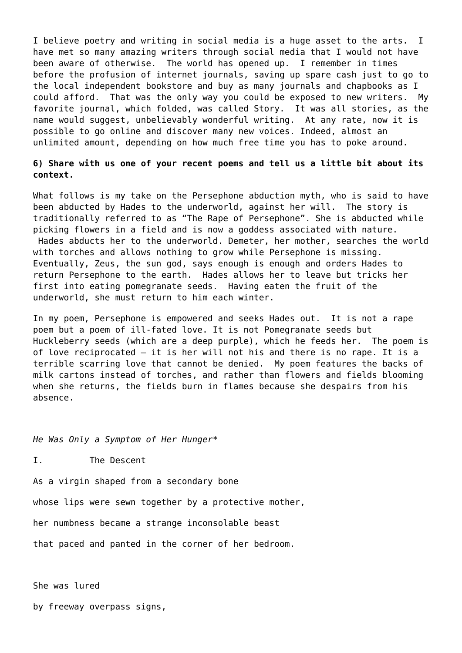I believe poetry and writing in social media is a huge asset to the arts. I have met so many amazing writers through social media that I would not have been aware of otherwise. The world has opened up. I remember in times before the profusion of internet journals, saving up spare cash just to go to the local independent bookstore and buy as many journals and chapbooks as I could afford. That was the only way you could be exposed to new writers. My favorite journal, which folded, was called Story. It was all stories, as the name would suggest, unbelievably wonderful writing. At any rate, now it is possible to go online and discover many new voices. Indeed, almost an unlimited amount, depending on how much free time you has to poke around.

## **6) Share with us one of your recent poems and tell us a little bit about its context.**

What follows is my take on the Persephone abduction myth, who is said to have been abducted by Hades to the underworld, against her will. The story is traditionally referred to as "The Rape of Persephone". She is abducted while picking flowers in a field and is now a goddess associated with nature. Hades abducts her to the underworld. Demeter, her mother, searches the world with torches and allows nothing to grow while Persephone is missing. Eventually, Zeus, the sun god, says enough is enough and orders Hades to return Persephone to the earth. Hades allows her to leave but tricks her first into eating pomegranate seeds. Having eaten the fruit of the underworld, she must return to him each winter.

In my poem, Persephone is empowered and seeks Hades out. It is not a rape poem but a poem of ill-fated love. It is not Pomegranate seeds but Huckleberry seeds (which are a deep purple), which he feeds her. The poem is of love reciprocated — it is her will not his and there is no rape. It is a terrible scarring love that cannot be denied. My poem features the backs of milk cartons instead of torches, and rather than flowers and fields blooming when she returns, the fields burn in flames because she despairs from his absence.

*He Was Only a Symptom of Her Hunger\**

I. The Descent

As a virgin shaped from a secondary bone

whose lips were sewn together by a protective mother,

her numbness became a strange inconsolable beast

that paced and panted in the corner of her bedroom.

She was lured

by freeway overpass signs,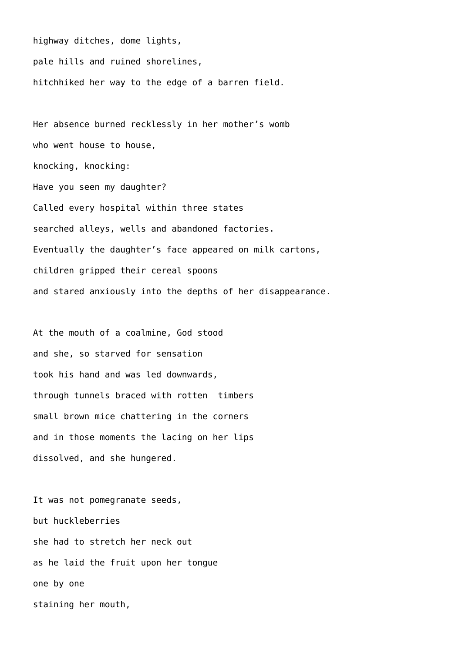highway ditches, dome lights, pale hills and ruined shorelines, hitchhiked her way to the edge of a barren field.

Her absence burned recklessly in her mother's womb who went house to house, knocking, knocking: Have you seen my daughter? Called every hospital within three states searched alleys, wells and abandoned factories. Eventually the daughter's face appeared on milk cartons, children gripped their cereal spoons and stared anxiously into the depths of her disappearance.

At the mouth of a coalmine, God stood and she, so starved for sensation took his hand and was led downwards, through tunnels braced with rotten timbers small brown mice chattering in the corners and in those moments the lacing on her lips dissolved, and she hungered.

It was not pomegranate seeds, but huckleberries she had to stretch her neck out as he laid the fruit upon her tongue one by one staining her mouth,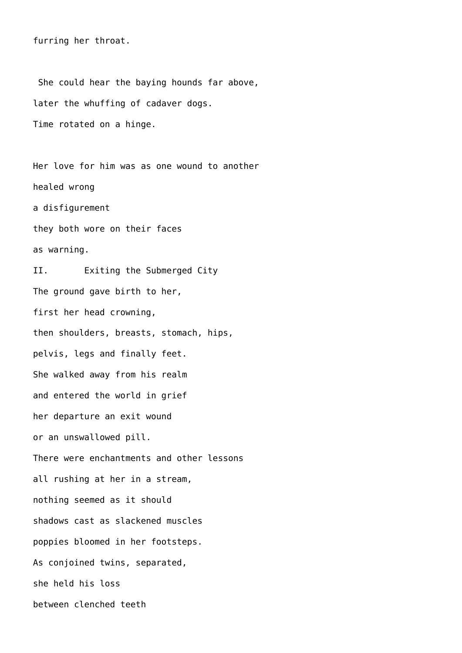furring her throat.

 She could hear the baying hounds far above, later the whuffing of cadaver dogs. Time rotated on a hinge.

Her love for him was as one wound to another healed wrong a disfigurement they both wore on their faces as warning. II. Exiting the Submerged City The ground gave birth to her, first her head crowning, then shoulders, breasts, stomach, hips, pelvis, legs and finally feet. She walked away from his realm and entered the world in grief her departure an exit wound or an unswallowed pill. There were enchantments and other lessons all rushing at her in a stream, nothing seemed as it should shadows cast as slackened muscles poppies bloomed in her footsteps. As conjoined twins, separated, she held his loss between clenched teeth